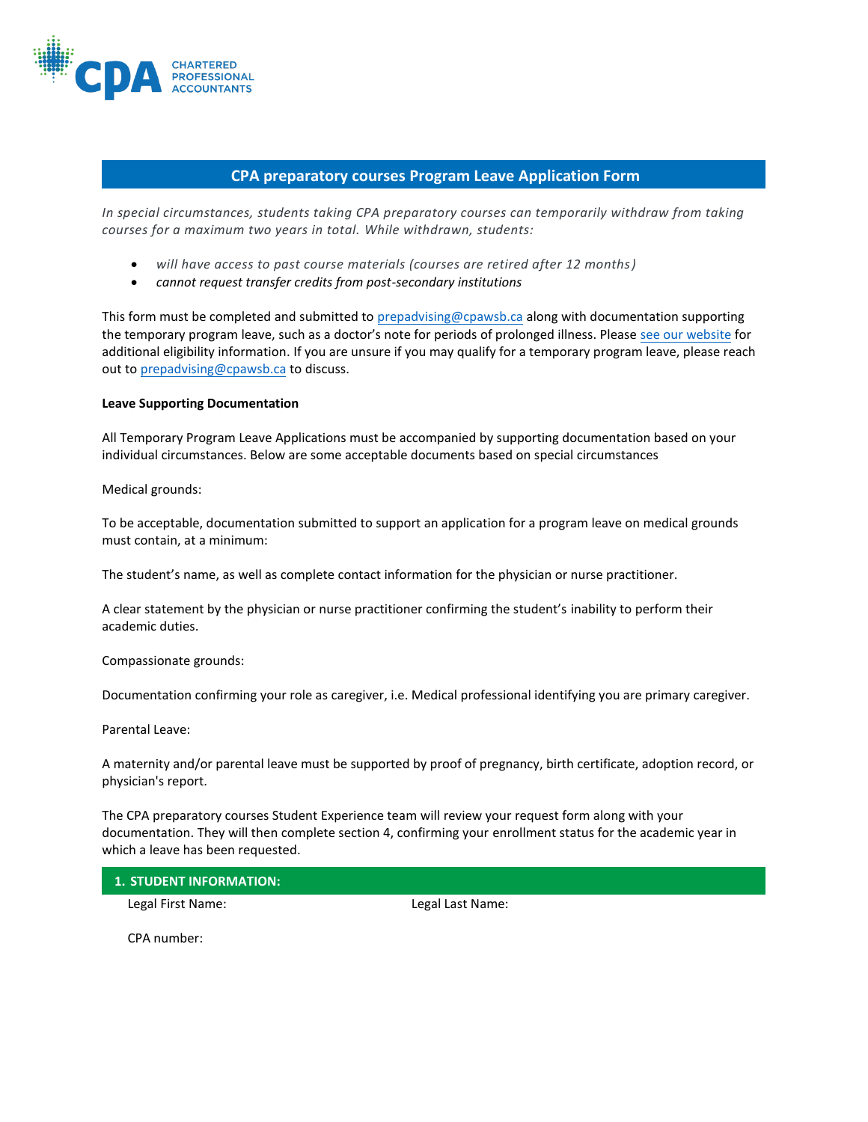

# **CPA preparatory courses Program Leave Application Form**

*In special circumstances, students taking CPA preparatory courses can temporarily withdraw from taking courses for a maximum two years in total. While withdrawn, students:*

- *will have access to past course materials (courses are retired after 12 months)*
- *cannot request transfer credits from post-secondary institutions*

This form must be completed and submitted to [prepadvising@cpawsb.ca](mailto:prepadvising@cpawsb.ca) along with documentation supporting the temporary program leave, such as a doctor's note for periods of prolonged illness. Please [see our website](https://www.cpawsb.ca/current-learners/administration/temporary-program-leave/) for additional eligibility information. If you are unsure if you may qualify for a temporary program leave, please reach out to [prepadvising@cpawsb.ca](mailto:prepadvising@cpawsb.ca) to discuss.

#### **Leave Supporting Documentation**

All Temporary Program Leave Applications must be accompanied by supporting documentation based on your individual circumstances. Below are some acceptable documents based on special circumstances

Medical grounds:

To be acceptable, documentation submitted to support an application for a program leave on medical grounds must contain, at a minimum:

The student's name, as well as complete contact information for the physician or nurse practitioner.

A clear statement by the physician or nurse practitioner confirming the student's inability to perform their academic duties.

Compassionate grounds:

Documentation confirming your role as caregiver, i.e. Medical professional identifying you are primary caregiver.

Parental Leave:

A maternity and/or parental leave must be supported by proof of pregnancy, birth certificate, adoption record, or physician's report.

The CPA preparatory courses Student Experience team will review your request form along with your documentation. They will then complete section 4, confirming your enrollment status for the academic year in which a leave has been requested.

### **1. STUDENT INFORMATION:**

Legal First Name: Legal Last Name:

CPA number: